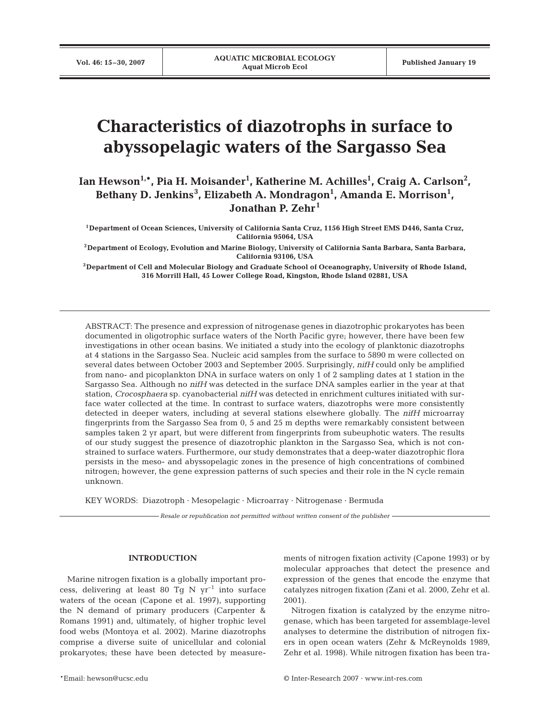# **Characteristics of diazotrophs in surface to abyssopelagic waters of the Sargasso Sea**

Ian Hewson<sup>1,</sup>\*, Pia H. Moisander<sup>1</sup>, Katherine M. Achilles<sup>1</sup>, Craig A. Carlson<sup>2</sup>, Bethany D. Jenkins<sup>3</sup>, Elizabeth A. Mondragon<sup>1</sup>, Amanda E. Morrison<sup>1</sup>, **Jonathan P. Zehr<sup>1</sup>**

**1Department of Ocean Sciences, University of California Santa Cruz, 1156 High Street EMS D446, Santa Cruz, California 95064, USA**

**2Department of Ecology, Evolution and Marine Biology, University of California Santa Barbara, Santa Barbara, California 93106, USA**

**3Department of Cell and Molecular Biology and Graduate School of Oceanography, University of Rhode Island, 316 Morrill Hall, 45 Lower College Road, Kingston, Rhode Island 02881, USA**

ABSTRACT: The presence and expression of nitrogenase genes in diazotrophic prokaryotes has been documented in oligotrophic surface waters of the North Pacific gyre; however, there have been few investigations in other ocean basins. We initiated a study into the ecology of planktonic diazotrophs at 4 stations in the Sargasso Sea. Nucleic acid samples from the surface to 5890 m were collected on several dates between October 2003 and September 2005. Surprisingly, *nifH* could only be amplified from nano- and picoplankton DNA in surface waters on only 1 of 2 sampling dates at 1 station in the Sargasso Sea. Although no *nifH* was detected in the surface DNA samples earlier in the year at that station, *Crocosphaera* sp. cyanobacterial *nifH* was detected in enrichment cultures initiated with surface water collected at the time. In contrast to surface waters, diazotrophs were more consistently detected in deeper waters, including at several stations elsewhere globally. The *nifH* microarray fingerprints from the Sargasso Sea from 0, 5 and 25 m depths were remarkably consistent between samples taken 2 yr apart, but were different from fingerprints from subeuphotic waters. The results of our study suggest the presence of diazotrophic plankton in the Sargasso Sea, which is not constrained to surface waters. Furthermore, our study demonstrates that a deep-water diazotrophic flora persists in the meso- and abyssopelagic zones in the presence of high concentrations of combined nitrogen; however, the gene expression patterns of such species and their role in the N cycle remain unknown.

KEY WORDS: Diazotroph · Mesopelagic · Microarray · Nitrogenase · Bermuda

*Resale or republication not permitted without written consent of the publisher*

## **INTRODUCTION**

Marine nitrogen fixation is a globally important process, delivering at least 80 Tg N  $yr^{-1}$  into surface waters of the ocean (Capone et al. 1997), supporting the N demand of primary producers (Carpenter & Romans 1991) and, ultimately, of higher trophic level food webs (Montoya et al. 2002). Marine diazotrophs comprise a diverse suite of unicellular and colonial prokaryotes; these have been detected by measurements of nitrogen fixation activity (Capone 1993) or by molecular approaches that detect the presence and expression of the genes that encode the enzyme that catalyzes nitrogen fixation (Zani et al. 2000, Zehr et al. 2001).

Nitrogen fixation is catalyzed by the enzyme nitrogenase, which has been targeted for assemblage-level analyses to determine the distribution of nitrogen fixers in open ocean waters (Zehr & McReynolds 1989, Zehr et al. 1998). While nitrogen fixation has been tra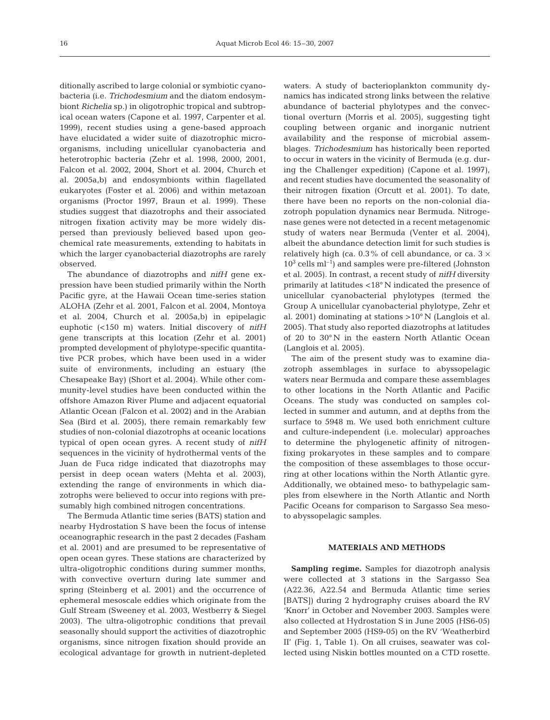ditionally ascribed to large colonial or symbiotic cyanobacteria (i.e. *Trichodesmium* and the diatom endosymbiont *Richelia* sp.) in oligotrophic tropical and subtropical ocean waters (Capone et al. 1997, Carpenter et al. 1999), recent studies using a gene-based approach have elucidated a wider suite of diazotrophic microorganisms, including unicellular cyanobacteria and heterotrophic bacteria (Zehr et al. 1998, 2000, 2001, Falcon et al. 2002, 2004, Short et al. 2004, Church et al. 2005a,b) and endosymbionts within flagellated eukaryotes (Foster et al. 2006) and within metazoan organisms (Proctor 1997, Braun et al. 1999). These studies suggest that diazotrophs and their associated nitrogen fixation activity may be more widely dispersed than previously believed based upon geochemical rate measurements, extending to habitats in which the larger cyanobacterial diazotrophs are rarely observed.

The abundance of diazotrophs and *nifH* gene expression have been studied primarily within the North Pacific gyre, at the Hawaii Ocean time-series station ALOHA (Zehr et al. 2001, Falcon et al. 2004, Montoya et al. 2004, Church et al. 2005a,b) in epipelagic euphotic (<150 m) waters. Initial discovery of *nifH* gene transcripts at this location (Zehr et al. 2001) prompted development of phylotype-specific quantitative PCR probes, which have been used in a wider suite of environments, including an estuary (the Chesapeake Bay) (Short et al. 2004). While other community-level studies have been conducted within the offshore Amazon River Plume and adjacent equatorial Atlantic Ocean (Falcon et al. 2002) and in the Arabian Sea (Bird et al. 2005), there remain remarkably few studies of non-colonial diazotrophs at oceanic locations typical of open ocean gyres. A recent study of *nifH* sequences in the vicinity of hydrothermal vents of the Juan de Fuca ridge indicated that diazotrophs may persist in deep ocean waters (Mehta et al. 2003), extending the range of environments in which diazotrophs were believed to occur into regions with presumably high combined nitrogen concentrations.

The Bermuda Atlantic time series (BATS) station and nearby Hydrostation S have been the focus of intense oceanographic research in the past 2 decades (Fasham et al. 2001) and are presumed to be representative of open ocean gyres. These stations are characterized by ultra-oligotrophic conditions during summer months, with convective overturn during late summer and spring (Steinberg et al. 2001) and the occurrence of ephemeral mesoscale eddies which originate from the Gulf Stream (Sweeney et al. 2003, Westberry & Siegel 2003). The ultra-oligotrophic conditions that prevail seasonally should support the activities of diazotrophic organisms, since nitrogen fixation should provide an ecological advantage for growth in nutrient-depleted

waters. A study of bacterioplankton community dynamics has indicated strong links between the relative abundance of bacterial phylotypes and the convectional overturn (Morris et al. 2005), suggesting tight coupling between organic and inorganic nutrient availability and the response of microbial assemblages. *Trichodesmium* has historically been reported to occur in waters in the vicinity of Bermuda (e.g. during the Challenger expedition) (Capone et al. 1997), and recent studies have documented the seasonality of their nitrogen fixation (Orcutt et al. 2001). To date, there have been no reports on the non-colonial diazotroph population dynamics near Bermuda. Nitrogenase genes were not detected in a recent metagenomic study of waters near Bermuda (Venter et al. 2004), albeit the abundance detection limit for such studies is relatively high (ca.  $0.3\%$  of cell abundance, or ca.  $3 \times$  $10^3$  cells ml<sup>-1</sup>) and samples were pre-filtered (Johnston et al. 2005). In contrast, a recent study of *nifH* diversity primarily at latitudes <18° N indicated the presence of unicellular cyanobacterial phylotypes (termed the Group A unicellular cyanobacterial phylotype, Zehr et al. 2001) dominating at stations >10° N (Langlois et al. 2005). That study also reported diazotrophs at latitudes of 20 to 30° N in the eastern North Atlantic Ocean (Langlois et al. 2005).

The aim of the present study was to examine diazotroph assemblages in surface to abyssopelagic waters near Bermuda and compare these assemblages to other locations in the North Atlantic and Pacific Oceans. The study was conducted on samples collected in summer and autumn, and at depths from the surface to 5948 m. We used both enrichment culture and culture-independent (i.e. molecular) approaches to determine the phylogenetic affinity of nitrogenfixing prokaryotes in these samples and to compare the composition of these assemblages to those occurring at other locations within the North Atlantic gyre. Additionally, we obtained meso- to bathypelagic samples from elsewhere in the North Atlantic and North Pacific Oceans for comparison to Sargasso Sea mesoto abyssopelagic samples.

#### **MATERIALS AND METHODS**

**Sampling regime.** Samples for diazotroph analysis were collected at 3 stations in the Sargasso Sea (A22.36, A22.54 and Bermuda Atlantic time series [BATS]) during 2 hydrography cruises aboard the RV 'Knorr' in October and November 2003. Samples were also collected at Hydrostation S in June 2005 (HS6-05) and September 2005 (HS9-05) on the RV 'Weatherbird II' (Fig. 1, Table 1). On all cruises, seawater was collected using Niskin bottles mounted on a CTD rosette.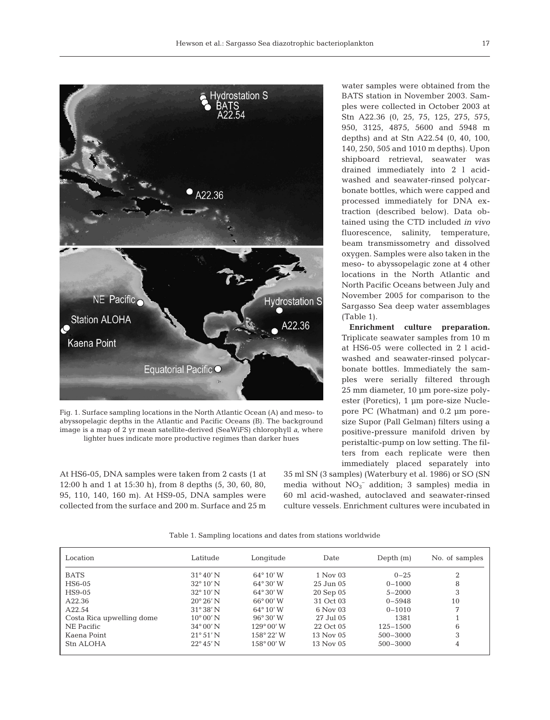

Fig. 1. Surface sampling locations in the North Atlantic Ocean (A) and meso- to abyssopelagic depths in the Atlantic and Pacific Oceans (B). The background image is a map of 2 yr mean satellite-derived (SeaWiFS) chlorophyll *a*, where lighter hues indicate more productive regimes than darker hues

At HS6-05, DNA samples were taken from 2 casts (1 at 12:00 h and 1 at 15:30 h), from 8 depths (5, 30, 60, 80, 95, 110, 140, 160 m). At HS9-05, DNA samples were collected from the surface and 200 m. Surface and 25 m

water samples were obtained from the BATS station in November 2003. Samples were collected in October 2003 at Stn A22.36 (0, 25, 75, 125, 275, 575, 950, 3125, 4875, 5600 and 5948 m depths) and at Stn A22.54 (0, 40, 100, 140, 250, 505 and 1010 m depths). Upon shipboard retrieval, seawater was drained immediately into 2 l acidwashed and seawater-rinsed polycarbonate bottles, which were capped and processed immediately for DNA extraction (described below). Data obtained using the CTD included *in vivo* fluorescence, salinity, temperature, beam transmissometry and dissolved oxygen. Samples were also taken in the meso- to abyssopelagic zone at 4 other locations in the North Atlantic and North Pacific Oceans between July and November 2005 for comparison to the Sargasso Sea deep water assemblages (Table 1).

**Enrichment culture preparation.** Triplicate seawater samples from 10 m at HS6-05 were collected in 2 l acidwashed and seawater-rinsed polycarbonate bottles. Immediately the samples were serially filtered through 25 mm diameter, 10 µm pore-size polyester (Poretics), 1 µm pore-size Nuclepore PC (Whatman) and 0.2 µm poresize Supor (Pall Gelman) filters using a positive-pressure manifold driven by peristaltic-pump on low setting. The filters from each replicate were then immediately placed separately into

35 ml SN (3 samples) (Waterbury et al. 1986) or SO (SN media without  $NO<sub>3</sub><sup>-</sup>$  addition; 3 samples) media in 60 ml acid-washed, autoclaved and seawater-rinsed culture vessels. Enrichment cultures were incubated in

Table 1. Sampling locations and dates from stations worldwide

| Location                  | Latitude           | Longitude           | Date          | Depth $(m)$  | No. of samples |
|---------------------------|--------------------|---------------------|---------------|--------------|----------------|
| <b>BATS</b>               | $31^{\circ}40'$ N  | $64^{\circ} 10' W$  | 1 Nov 03      | $0 - 25$     | 2              |
| HS6-05                    | $32^{\circ} 10' N$ | $64^{\circ}30'$ W   | $25$ Jun $05$ | $0 - 1000$   | 8              |
| HS9-05                    | $32^{\circ} 10' N$ | $64^{\circ}30'$ W   | 20 Sep 05     | $5 - 2000$   | 3              |
| A22.36                    | $20^{\circ} 26' N$ | $66^{\circ}00'$ W   | 31 Oct 03     | $0 - 5948$   | 10             |
| A22.54                    | $31^{\circ}38'$ N  | $64^{\circ} 10' W$  | 6 Nov 03      | $0 - 1010$   | 7              |
| Costa Rica upwelling dome | $10^{\circ} 00' N$ | $96^{\circ}30'$ W   | 27 Jul 05     | 1381         |                |
| NE Pacific                | $34^{\circ}00'$ N  | $129^{\circ} 00' W$ | 22 Oct 05     | $125 - 1500$ | 6              |
| Kaena Point               | $21^{\circ}51'$ N  | $158^{\circ} 22' W$ | 13 Nov 05     | $500 - 3000$ | 3              |
| Stn ALOHA                 | $22^{\circ} 45' N$ | $158^{\circ} 00' W$ | 13 Nov 05     | $500 - 3000$ | 4              |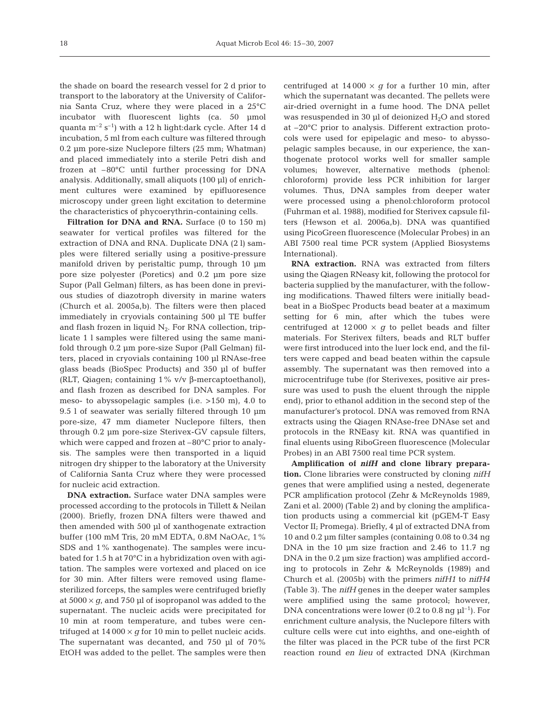the shade on board the research vessel for 2 d prior to transport to the laboratory at the University of California Santa Cruz, where they were placed in a 25°C incubator with fluorescent lights (ca. 50 µmol quanta  $m^{-2}$  s<sup>-1</sup>) with a 12 h light:dark cycle. After 14 d incubation, 5 ml from each culture was filtered through 0.2 µm pore-size Nuclepore filters (25 mm; Whatman) and placed immediately into a sterile Petri dish and frozen at –80°C until further processing for DNA analysis. Additionally, small aliquots (100 µl) of enrichment cultures were examined by epifluoresence microscopy under green light excitation to determine the characteristics of phycoerythrin-containing cells.

Filtration for DNA and RNA. Surface (0 to 150 m) seawater for vertical profiles was filtered for the extraction of DNA and RNA. Duplicate DNA (2 l) samples were filtered serially using a positive-pressure manifold driven by peristaltic pump, through 10 µm pore size polyester (Poretics) and 0.2 µm pore size Supor (Pall Gelman) filters, as has been done in previous studies of diazotroph diversity in marine waters (Church et al. 2005a,b). The filters were then placed immediately in cryovials containing 500 µl TE buffer and flash frozen in liquid  $N_2$ . For RNA collection, triplicate 1 l samples were filtered using the same manifold through 0.2 µm pore-size Supor (Pall Gelman) filters, placed in cryovials containing 100 µl RNAse-free glass beads (BioSpec Products) and 350 µl of buffer (RLT, Qiagen; containing 1% v/v β-mercaptoethanol), and flash frozen as described for DNA samples. For meso- to abyssopelagic samples (i.e. >150 m), 4.0 to 9.5 l of seawater was serially filtered through 10 µm pore-size, 47 mm diameter Nuclepore filters, then through 0.2 µm pore-size Sterivex-GV capsule filters, which were capped and frozen at –80°C prior to analysis. The samples were then transported in a liquid nitrogen dry shipper to the laboratory at the University of California Santa Cruz where they were processed for nucleic acid extraction.

**DNA extraction.** Surface water DNA samples were processed according to the protocols in Tillett & Neilan (2000). Briefly, frozen DNA filters were thawed and then amended with 500 µl of xanthogenate extraction buffer (100 mM Tris, 20 mM EDTA, 0.8M NaOAc, 1% SDS and 1% xanthogenate). The samples were incubated for 1.5 h at 70°C in a hybridization oven with agitation. The samples were vortexed and placed on ice for 30 min. After filters were removed using flamesterilized forceps, the samples were centrifuged briefly at  $5000 \times g$ , and 750 µl of isopropanol was added to the supernatant. The nucleic acids were precipitated for 10 min at room temperature, and tubes were centrifuged at  $14\,000 \times g$  for 10 min to pellet nucleic acids. The supernatant was decanted, and 750 µl of 70% EtOH was added to the pellet. The samples were then

centrifuged at  $14\,000 \times g$  for a further 10 min, after which the supernatant was decanted. The pellets were air-dried overnight in a fume hood. The DNA pellet was resuspended in 30  $\mu$ l of deionized H<sub>2</sub>O and stored at –20°C prior to analysis. Different extraction protocols were used for epipelagic and meso- to abyssopelagic samples because, in our experience, the xanthogenate protocol works well for smaller sample volumes; however, alternative methods (phenol: chloroform) provide less PCR inhibition for larger volumes. Thus, DNA samples from deeper water were processed using a phenol:chloroform protocol (Fuhrman et al. 1988), modified for Sterivex capsule filters (Hewson et al. 2006a,b). DNA was quantified using PicoGreen fluorescence (Molecular Probes) in an ABI 7500 real time PCR system (Applied Biosystems International).

**RNA extraction.** RNA was extracted from filters using the Qiagen RNeasy kit, following the protocol for bacteria supplied by the manufacturer, with the following modifications. Thawed filters were initially beadbeat in a BioSpec Products bead beater at a maximum setting for 6 min, after which the tubes were centrifuged at  $12000 \times g$  to pellet beads and filter materials. For Sterivex filters, beads and RLT buffer were first introduced into the luer lock end, and the filters were capped and bead beaten within the capsule assembly. The supernatant was then removed into a microcentrifuge tube (for Sterivexes, positive air pressure was used to push the eluent through the nipple end), prior to ethanol addition in the second step of the manufacturer's protocol. DNA was removed from RNA extracts using the Qiagen RNAse-free DNAse set and protocols in the RNEasy kit. RNA was quantified in final eluents using RiboGreen fluorescence (Molecular Probes) in an ABI 7500 real time PCR system.

**Amplification of** *nifH* **and clone library preparation.** Clone libraries were constructed by cloning *nifH* genes that were amplified using a nested, degenerate PCR amplification protocol (Zehr & McReynolds 1989, Zani et al. 2000) (Table 2) and by cloning the amplification products using a commercial kit (pGEM-T Easy Vector II; Promega). Briefly, 4 µl of extracted DNA from 10 and 0.2 µm filter samples (containing 0.08 to 0.34 ng DNA in the 10 µm size fraction and 2.46 to 11.7 ng DNA in the 0.2 µm size fraction) was amplified according to protocols in Zehr & McReynolds (1989) and Church et al. (2005b) with the primers *nifH1* to *nifH4* (Table 3). The *nifH* genes in the deeper water samples were amplified using the same protocol; however, DNA concentrations were lower (0.2 to 0.8 ng  $\mu$ l<sup>-1</sup>). For enrichment culture analysis, the Nuclepore filters with culture cells were cut into eighths, and one-eighth of the filter was placed in the PCR tube of the first PCR reaction round *en lieu* of extracted DNA (Kirchman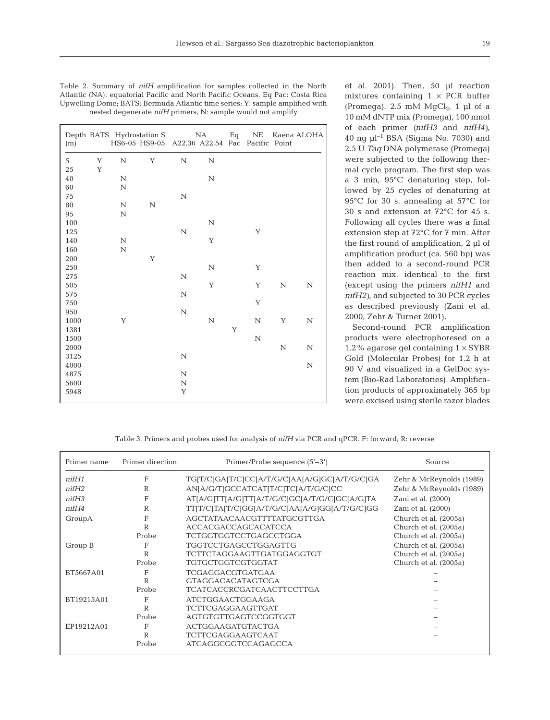| (m)  |   |             | Depth BATS Hydrostation S NA<br>HS6-05 HS9-05 A22.36 A22.54 Pac Pacific Point |             |             | Eq | NE          |             | Kaena ALOHA |
|------|---|-------------|-------------------------------------------------------------------------------|-------------|-------------|----|-------------|-------------|-------------|
| 5    | Y | $\mathbf N$ | $\mathbf Y$                                                                   | N           | N           |    |             |             |             |
| 25   | Y |             |                                                                               |             |             |    |             |             |             |
| 40   |   | $\mathbf N$ |                                                                               |             | $\mathbf N$ |    |             |             |             |
| 60   |   | $\mathbf N$ |                                                                               |             |             |    |             |             |             |
| 75   |   |             |                                                                               | $\mathbb N$ |             |    |             |             |             |
| 80   |   | $\rm N$     | $\mathbf N$                                                                   |             |             |    |             |             |             |
| 95   |   | $\rm N$     |                                                                               |             |             |    |             |             |             |
| 100  |   |             |                                                                               |             | $\mathbf N$ |    |             |             |             |
| 125  |   |             |                                                                               | $\mathbf N$ |             |    | Y           |             |             |
| 140  |   | $\mathbf N$ |                                                                               |             | $\mathbf Y$ |    |             |             |             |
| 160  |   | $\mathbf N$ |                                                                               |             |             |    |             |             |             |
| 200  |   |             | Y                                                                             |             |             |    |             |             |             |
| 250  |   |             |                                                                               |             | $\mathbf N$ |    | Y           |             |             |
| 275  |   |             |                                                                               | $\mathbf N$ |             |    |             |             |             |
| 505  |   |             |                                                                               |             | $\mathbf Y$ |    | Y           | $\mathbf N$ | N           |
| 575  |   |             |                                                                               | $\mathbf N$ |             |    |             |             |             |
| 750  |   |             |                                                                               |             |             |    | Y           |             |             |
| 950  |   |             |                                                                               | $\mathbf N$ |             |    |             |             |             |
| 1000 |   | Y           |                                                                               |             | $\mathbf N$ |    | ${\bf N}$   | $\mathbf Y$ | $\mathbf N$ |
| 1381 |   |             |                                                                               |             |             | Y  |             |             |             |
| 1500 |   |             |                                                                               |             |             |    | $\mathbf N$ |             |             |
| 2000 |   |             |                                                                               |             |             |    |             | $\mathbf N$ | $\mathbf N$ |
| 3125 |   |             |                                                                               | $\mathbf N$ |             |    |             |             |             |
| 4000 |   |             |                                                                               |             |             |    |             |             | $\mathbf N$ |
| 4875 |   |             |                                                                               | $\mathbf N$ |             |    |             |             |             |
| 5600 |   |             |                                                                               | $\mathbf N$ |             |    |             |             |             |
| 5948 |   |             |                                                                               | Y           |             |    |             |             |             |

| Table 2. Summary of <i>nifH</i> amplification for samples collected in the North |
|----------------------------------------------------------------------------------|
| Atlantic (NA), equatorial Pacific and North Pacific Oceans. Eq Pac: Costa Rica   |
| Upwelling Dome; BATS: Bermuda Atlantic time series; Y: sample amplified with     |
| nested degenerate <i>nifH</i> primers; N: sample would not amplify               |

et al. 2001). Then, 50 µl reaction mixtures containing  $1 \times PCR$  buffer (Promega), 2.5 mM  $MqCl<sub>2</sub>$ , 1 µl of a 10 mM dNTP mix (Promega), 100 nmol of each primer *(nifH3* and *nifH4)*, 40 ng  $\mu$ l<sup>-1</sup> BSA (Sigma No. 7030) and 2.5 U *Taq* DNA polymerase (Promega) were subjected to the following thermal cycle program. The first step was a 3 min, 95°C denaturing step, followed by 25 cycles of denaturing at 95°C for 30 s, annealing at 57°C for 30 s and extension at 72°C for 45 s. Following all cycles there was a final extension step at 72°C for 7 min. After the first round of amplification, 2 µl of amplification product (ca. 560 bp) was then added to a second-round PCR reaction mix, identical to the first (except using the primers *nifH1* and *nifH2)*, and subjected to 30 PCR cycles as described previously (Zani et al. 2000, Zehr & Turner 2001).

Second-round PCR amplification products were electrophoresed on a 1.2% agarose gel containing  $1 \times SYBR$ Gold (Molecular Probes) for 1.2 h at 90 V and visualized in a GelDoc system (Bio-Rad Laboratories). Amplification products of approximately 365 bp were excised using sterile razor blades

Table 3. Primers and probes used for analysis of *nifH* via PCR and qPCR. F: forward; R: reverse

| Primer name  | Primer direction | Primer/Probe sequence $(5'-3')$               | Source                   |  |
|--------------|------------------|-----------------------------------------------|--------------------------|--|
| $n$ if $H1$  | F                | TG[T/C]GA[T/C]CC[A/T/G/C]AA[A/G]GC[A/T/G/C]GA | Zehr & McReynolds (1989) |  |
| $n$ if $H2$  | R                | ANJA/G/TJGCCATCATJT/CJTCJA/T/G/CJCC           | Zehr & McReynolds (1989) |  |
| $n$ if $H$ 3 | F                | AT[A/G]TT[A/G]TT[A/T/G/C]GC[A/T/G/C]GC[A/G]TA | Zani et al. (2000)       |  |
| $n$ if $H4$  | R                | TT T/C TA T/C GG A/T/G/C AA A/G GG A/T/G/C GG | Zani et al. (2000)       |  |
| GroupA       | F                | AGCTATAACAACGTTTTATGCGTTGA                    | Church et al. (2005a)    |  |
|              | R                | <b>ACCACGACCAGCACATCCA</b>                    | Church et al. (2005a)    |  |
|              | Probe            | <b>TCTGGTGGTCCTGAGCCTGGA</b>                  | Church et al. (2005a)    |  |
| Group B      | F                | TGGTCCTGAGCCTGGAGTTG                          | Church et al. (2005a)    |  |
|              | R                | <b>TCTTCTAGGAAGTTGATGGAGGTGT</b>              | Church et al. (2005a)    |  |
|              | Probe            | TGTGCTGGTCGTGGTAT                             | Church et al. (2005a)    |  |
| BT5667A01    | E                | <b>TCGAGGACGTGATGAA</b>                       |                          |  |
|              | R                | <b>GTAGGACACATAGTCGA</b>                      |                          |  |
|              | Probe            | <b>TCATCACCRCGATCAACTTCCTTGA</b>              |                          |  |
| BT19215A01   | F                | <b>ATCTGGAACTGGAAGA</b>                       |                          |  |
|              | R                | <b>TCTTCGAGGAAGTTGAT</b>                      |                          |  |
|              | Probe            | AGTGTGTTGAGTCCGGTGGT                          |                          |  |
| EP19212A01   | F                | ACTGGAAGATGTACTGA                             |                          |  |
|              | R                | <b>TCTTCGAGGAAGTCAAT</b>                      |                          |  |
|              | Probe            | <b>ATCAGGCGGTCCAGAGCCA</b>                    |                          |  |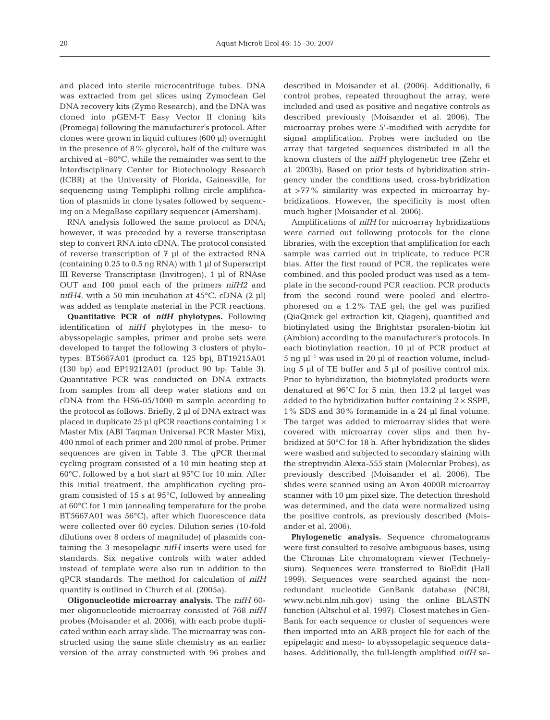and placed into sterile microcentrifuge tubes. DNA was extracted from gel slices using Zymoclean Gel DNA recovery kits (Zymo Research), and the DNA was cloned into pGEM-T Easy Vector II cloning kits (Promega) following the manufacturer's protocol. After clones were grown in liquid cultures (600 µl) overnight in the presence of 8% glycerol, half of the culture was archived at –80°C, while the remainder was sent to the Interdisciplinary Center for Biotechnology Research (ICBR) at the University of Florida, Gainesville, for sequencing using Templiphi rolling circle amplification of plasmids in clone lysates followed by sequencing on a MegaBase capillary sequencer (Amersham).

RNA analysis followed the same protocol as DNA; however, it was preceded by a reverse transcriptase step to convert RNA into cDNA. The protocol consisted of reverse transcription of 7 µl of the extracted RNA (containing 0.25 to 0.5 ng RNA) with 1 µl of Superscript III Reverse Transcriptase (Invitrogen), 1 µl of RNAse OUT and 100 pmol each of the primers *nifH2* and *nifH4*, with a 50 min incubation at  $45^{\circ}$ C. cDNA (2 µl) was added as template material in the PCR reactions.

**Quantitative PCR of** *nifH* **phylotypes.** Following identification of *nifH* phylotypes in the meso- to abyssopelagic samples, primer and probe sets were developed to target the following 3 clusters of phylotypes: BT5667A01 (product ca. 125 bp), BT19215A01 (130 bp) and EP19212A01 (product 90 bp; Table 3). Quantitative PCR was conducted on DNA extracts from samples from all deep water stations and on cDNA from the HS6-05/1000 m sample according to the protocol as follows. Briefly, 2 µl of DNA extract was placed in duplicate 25 µl qPCR reactions containing  $1 \times$ Master Mix (ABI Taqman Universal PCR Master Mix), 400 nmol of each primer and 200 nmol of probe. Primer sequences are given in Table 3. The qPCR thermal cycling program consisted of a 10 min heating step at 60°C, followed by a hot start at 95°C for 10 min. After this initial treatment, the amplification cycling program consisted of 15 s at 95°C, followed by annealing at 60°C for 1 min (annealing temperature for the probe BT5667A01 was 56°C), after which fluorescence data were collected over 60 cycles. Dilution series (10-fold dilutions over 8 orders of magnitude) of plasmids containing the 3 mesopelagic *nifH* inserts were used for standards. Six negative controls with water added instead of template were also run in addition to the qPCR standards. The method for calculation of *nifH* quantity is outlined in Church et al. (2005a).

**Oligonucleotide microarray analysis.** The *nifH* 60 mer oligonucleotide microarray consisted of 768 *nifH* probes (Moisander et al. 2006), with each probe duplicated within each array slide. The microarray was constructed using the same slide chemistry as an earlier version of the array constructed with 96 probes and

described in Moisander et al. (2006). Additionally, 6 control probes, repeated throughout the array, were included and used as positive and negative controls as described previously (Moisander et al. 2006). The microarray probes were 5'-modified with acrydite for signal amplification. Probes were included on the array that targeted sequences distributed in all the known clusters of the *nifH* phylogenetic tree (Zehr et al. 2003b). Based on prior tests of hybridization stringency under the conditions used, cross-hybridization at >77% similarity was expected in microarray hybridizations. However, the specificity is most often much higher (Moisander et al. 2006).

Amplifications of *nifH* for microarray hybridizations were carried out following protocols for the clone libraries, with the exception that amplification for each sample was carried out in triplicate, to reduce PCR bias. After the first round of PCR, the replicates were combined, and this pooled product was used as a template in the second-round PCR reaction. PCR products from the second round were pooled and electrophoresed on a 1.2% TAE gel; the gel was purified (QiaQuick gel extraction kit, Qiagen), quantified and biotinylated using the Brightstar psoralen-biotin kit (Ambion) according to the manufacturer's protocols. In each biotinylation reaction, 10 µl of PCR product at 5 ng  $\mu$ <sup>-1</sup> was used in 20  $\mu$ l of reaction volume, including 5 µl of TE buffer and 5 µl of positive control mix. Prior to hybridization, the biotinylated products were denatured at 96°C for 5 min, then 13.2 µl target was added to the hybridization buffer containing  $2 \times$  SSPE, 1% SDS and 30% formamide in a 24 µl final volume. The target was added to microarray slides that were covered with microarray cover slips and then hybridized at 50°C for 18 h. After hybridization the slides were washed and subjected to secondary staining with the streptividin Alexa-555 stain (Molecular Probes), as previously described (Moisander et al. 2006). The slides were scanned using an Axon 4000B microarray scanner with 10 µm pixel size. The detection threshold was determined, and the data were normalized using the positive controls, as previously described (Moisander et al. 2006).

**Phylogenetic analysis.** Sequence chromatograms were first consulted to resolve ambiguous bases, using the Chromas Lite chromatogram viewer (Technelysium). Sequences were transferred to BioEdit (Hall 1999). Sequences were searched against the nonredundant nucleotide GenBank database (NCBI, www.ncbi.nlm.nih.gov) using the online BLASTN function (Altschul et al. 1997). Closest matches in Gen-Bank for each sequence or cluster of sequences were then imported into an ARB project file for each of the epipelagic and meso- to abyssopelagic sequence databases. Additionally, the full-length amplified *nifH* se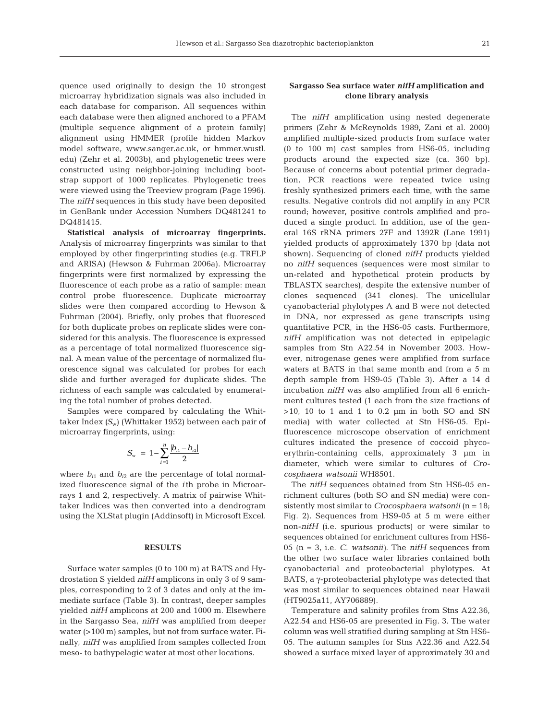quence used originally to design the 10 strongest microarray hybridization signals was also included in each database for comparison. All sequences within each database were then aligned anchored to a PFAM (multiple sequence alignment of a protein family) alignment using HMMER (profile hidden Markov model software, www.sanger.ac.uk, or hmmer.wustl. edu) (Zehr et al. 2003b), and phylogenetic trees were constructed using neighbor-joining including bootstrap support of 1000 replicates. Phylogenetic trees were viewed using the Treeview program (Page 1996). The *nifH* sequences in this study have been deposited in GenBank under Accession Numbers DQ481241 to DQ481415.

**Statistical analysis of microarray fingerprints.** Analysis of microarray fingerprints was similar to that employed by other fingerprinting studies (e.g. TRFLP and ARISA) (Hewson & Fuhrman 2006a). Microarray fingerprints were first normalized by expressing the fluorescence of each probe as a ratio of sample: mean control probe fluorescence. Duplicate microarray slides were then compared according to Hewson & Fuhrman (2004). Briefly, only probes that fluoresced for both duplicate probes on replicate slides were considered for this analysis. The fluorescence is expressed as a percentage of total normalized fluorescence signal. A mean value of the percentage of normalized fluorescence signal was calculated for probes for each slide and further averaged for duplicate slides. The richness of each sample was calculated by enumerating the total number of probes detected.

Samples were compared by calculating the Whittaker Index *(S*w) (Whittaker 1952) between each pair of microarray fingerprints, using:

$$
S_{\rm w} = 1 - \sum_{i=1}^{n} \frac{|b_{i1} - b_{i2}|}{2}
$$

where  $b_{i1}$  and  $b_{i2}$  are the percentage of total normalized fluorescence signal of the *i*th probe in Microarrays 1 and 2, respectively. A matrix of pairwise Whittaker Indices was then converted into a dendrogram using the XLStat plugin (Addinsoft) in Microsoft Excel.

#### **RESULTS**

Surface water samples (0 to 100 m) at BATS and Hydrostation S yielded *nifH* amplicons in only 3 of 9 samples, corresponding to 2 of 3 dates and only at the immediate surface (Table 3). In contrast, deeper samples yielded *nifH* amplicons at 200 and 1000 m. Elsewhere in the Sargasso Sea, *nifH* was amplified from deeper water (>100 m) samples, but not from surface water. Finally, *nifH* was amplified from samples collected from meso- to bathypelagic water at most other locations.

# **Sargasso Sea surface water** *nifH* **amplification and clone library analysis**

The *nifH* amplification using nested degenerate primers (Zehr & McReynolds 1989, Zani et al. 2000) amplified multiple-sized products from surface water (0 to 100 m) cast samples from HS6-05, including products around the expected size (ca. 360 bp). Because of concerns about potential primer degradation, PCR reactions were repeated twice using freshly synthesized primers each time, with the same results. Negative controls did not amplify in any PCR round; however, positive controls amplified and produced a single product. In addition, use of the general 16S rRNA primers 27F and 1392R (Lane 1991) yielded products of approximately 1370 bp (data not shown). Sequencing of cloned *nifH* products yielded no *nifH* sequences (sequences were most similar to un-related and hypothetical protein products by TBLASTX searches), despite the extensive number of clones sequenced (341 clones). The unicellular cyanobacterial phylotypes A and B were not detected in DNA, nor expressed as gene transcripts using quantitative PCR, in the HS6-05 casts. Furthermore, *nifH* amplification was not detected in epipelagic samples from Stn A22.54 in November 2003. However, nitrogenase genes were amplified from surface waters at BATS in that same month and from a 5 m depth sample from HS9-05 (Table 3). After a 14 d incubation *nifH* was also amplified from all 6 enrichment cultures tested (1 each from the size fractions of  $>10$ , 10 to 1 and 1 to 0.2  $\mu$ m in both SO and SN media) with water collected at Stn HS6-05. Epifluorescence microscope observation of enrichment cultures indicated the presence of coccoid phycoerythrin-containing cells, approximately 3 µm in diameter, which were similar to cultures of *Crocosphaera watsonii* WH8501.

The *nifH* sequences obtained from Stn HS6-05 enrichment cultures (both SO and SN media) were consistently most similar to *Crocosphaera watsonii* (n = 18; Fig. 2). Sequences from HS9-05 at 5 m were either non-*nifH* (i.e. spurious products) or were similar to sequences obtained for enrichment cultures from HS6- 05 (n = 3, i.e. *C. watsonii)*. The *nifH* sequences from the other two surface water libraries contained both cyanobacterial and proteobacterial phylotypes. At BATS, a γ-proteobacterial phylotype was detected that was most similar to sequences obtained near Hawaii (HT9025a11, AY706889).

Temperature and salinity profiles from Stns A22.36, A22.54 and HS6-05 are presented in Fig. 3. The water column was well stratified during sampling at Stn HS6- 05. The autumn samples for Stns A22.36 and A22.54 showed a surface mixed layer of approximately 30 and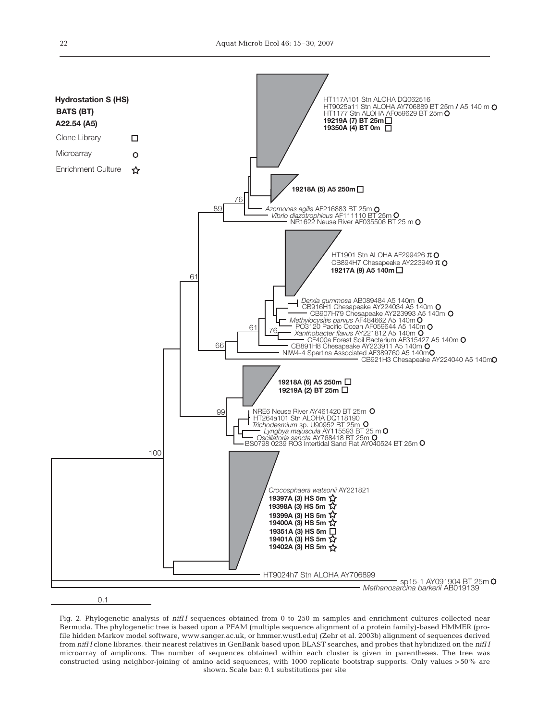

Fig. 2. Phylogenetic analysis of *nifH* sequences obtained from 0 to 250 m samples and enrichment cultures collected near Bermuda. The phylogenetic tree is based upon a PFAM (multiple sequence alignment of a protein family)-based HMMER (profile hidden Markov model software, www.sanger.ac.uk, or hmmer.wustl.edu) (Zehr et al. 2003b) alignment of sequences derived from *nifH* clone libraries, their nearest relatives in GenBank based upon BLAST searches, and probes that hybridized on the *nifH* microarray of amplicons. The number of sequences obtained within each cluster is given in parentheses. The tree was constructed using neighbor-joining of amino acid sequences, with 1000 replicate bootstrap supports. Only values >50% are shown. Scale bar: 0.1 substitutions per site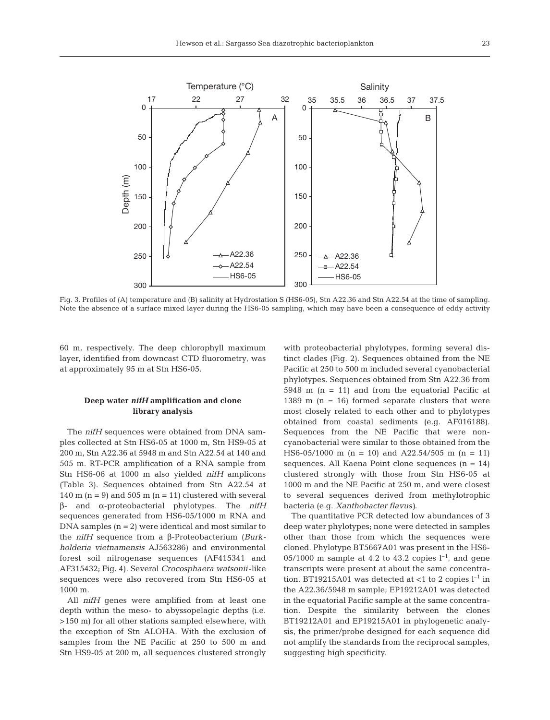

Fig. 3. Profiles of (A) temperature and (B) salinity at Hydrostation S (HS6-05), Stn A22.36 and Stn A22.54 at the time of sampling. Note the absence of a surface mixed layer during the HS6-05 sampling, which may have been a consequence of eddy activity

60 m, respectively. The deep chlorophyll maximum layer, identified from downcast CTD fluorometry, was at approximately 95 m at Stn HS6-05.

# **Deep water** *nifH* **amplification and clone library analysis**

The *nifH* sequences were obtained from DNA samples collected at Stn HS6-05 at 1000 m, Stn HS9-05 at 200 m, Stn A22.36 at 5948 m and Stn A22.54 at 140 and 505 m. RT-PCR amplification of a RNA sample from Stn HS6-06 at 1000 m also yielded *nifH* amplicons (Table 3). Sequences obtained from Stn A22.54 at 140 m  $(n = 9)$  and 505 m  $(n = 11)$  clustered with several β- and α-proteobacterial phylotypes. The *nifH* sequences generated from HS6-05/1000 m RNA and  $DNA$  samples  $(n = 2)$  were identical and most similar to the *nifH* sequence from a β-Proteobacterium (*Burkholderia vietnamensis* AJ563286) and environmental forest soil nitrogenase sequences (AF415341 and AF315432; Fig. 4). Several *Crocosphaera watsonii*-like sequences were also recovered from Stn HS6-05 at 1000 m.

All *nifH* genes were amplified from at least one depth within the meso- to abyssopelagic depths (i.e. >150 m) for all other stations sampled elsewhere, with the exception of Stn ALOHA. With the exclusion of samples from the NE Pacific at 250 to 500 m and Stn HS9-05 at 200 m, all sequences clustered strongly

with proteobacterial phylotypes, forming several distinct clades (Fig. 2). Sequences obtained from the NE Pacific at 250 to 500 m included several cyanobacterial phylotypes. Sequences obtained from Stn A22.36 from  $5948$  m (n = 11) and from the equatorial Pacific at 1389 m  $(n = 16)$  formed separate clusters that were most closely related to each other and to phylotypes obtained from coastal sediments (e.g. AF016188). Sequences from the NE Pacific that were noncyanobacterial were similar to those obtained from the HS6-05/1000 m (n = 10) and A22.54/505 m (n = 11) sequences. All Kaena Point clone sequences  $(n = 14)$ clustered strongly with those from Stn HS6-05 at 1000 m and the NE Pacific at 250 m, and were closest to several sequences derived from methylotrophic bacteria (e.g. *Xanthobacter flavus)*.

The quantitative PCR detected low abundances of 3 deep water phylotypes; none were detected in samples other than those from which the sequences were cloned. Phylotype BT5667A01 was present in the HS6- 05/1000 m sample at 4.2 to 43.2 copies  $l^{-1}$ , and gene transcripts were present at about the same concentration. BT19215A01 was detected at  $<$ 1 to 2 copies  $l^{-1}$  in the A22.36/5948 m sample; EP19212A01 was detected in the equatorial Pacific sample at the same concentration. Despite the similarity between the clones BT19212A01 and EP19215A01 in phylogenetic analysis, the primer/probe designed for each sequence did not amplify the standards from the reciprocal samples, suggesting high specificity.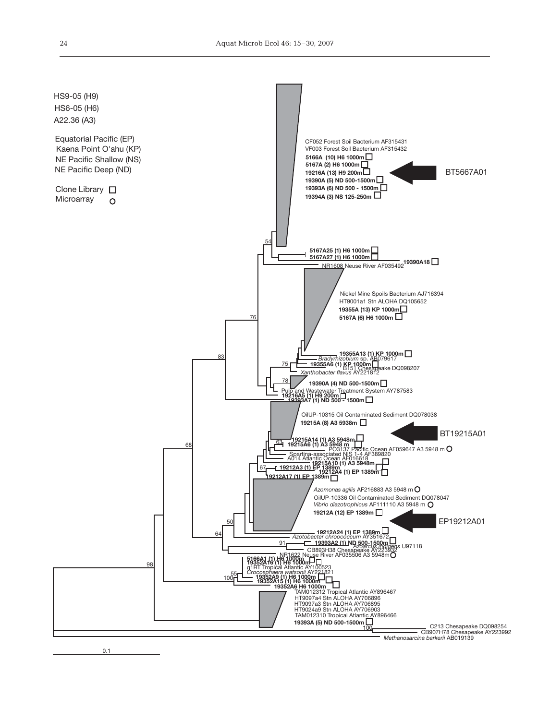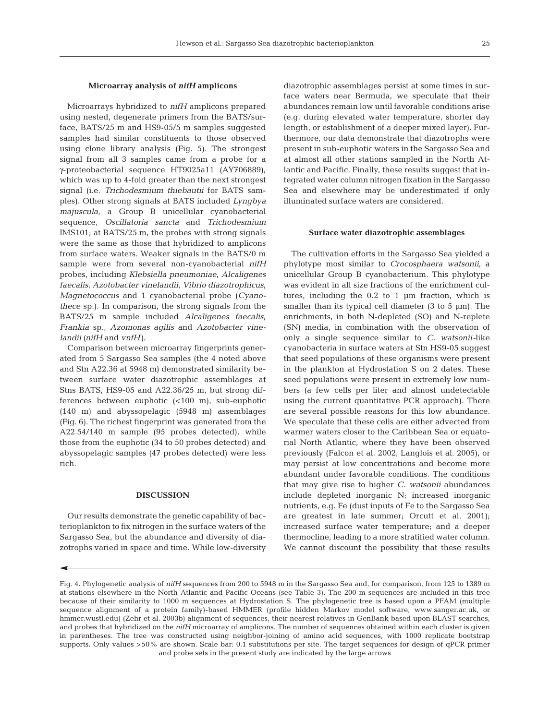## **Microarray analysis of** *nifH* **amplicons**

Microarrays hybridized to *nifH* amplicons prepared using nested, degenerate primers from the BATS/surface, BATS/25 m and HS9-05/5 m samples suggested samples had similar constituents to those observed using clone library analysis (Fig. 5). The strongest signal from all 3 samples came from a probe for a γ-proteobacterial sequence HT9025a11 (AY706889), which was up to 4-fold greater than the next strongest signal (i.e. *Trichodesmium thiebautii* for BATS samples). Other strong signals at BATS included *Lyngbya majuscula*, a Group B unicellular cyanobacterial sequence, *Oscillatoria sancta* and *Trichodesmium* IMS101; at BATS/25 m, the probes with strong signals were the same as those that hybridized to amplicons from surface waters. Weaker signals in the BATS/0 m sample were from several non-cyanobacterial *nifH* probes, including *Klebsiella pneumoniae*, *Alcaligenes faecalis*, *Azotobacter vinelandii*, *Vibrio diazotrophicus*, *Magnetococcus* and 1 cyanobacterial probe (*Cyanothece* sp.). In comparison, the strong signals from the BATS/25 m sample included *Alcaligenes faecalis*, *Frankia* sp., *Azomonas agilis* and *Azotobacter vinelandii (nifH* and *vnfH)*.

Comparison between microarray fingerprints generated from 5 Sargasso Sea samples (the 4 noted above and Stn A22.36 at 5948 m) demonstrated similarity between surface water diazotrophic assemblages at Stns BATS, HS9-05 and A22.36/25 m, but strong differences between euphotic (<100 m), sub-euphotic (140 m) and abyssopelagic (5948 m) assemblages (Fig. 6). The richest fingerprint was generated from the A22.54/140 m sample (95 probes detected), while those from the euphotic (34 to 50 probes detected) and abyssopelagic samples (47 probes detected) were less rich.

## **DISCUSSION**

Our results demonstrate the genetic capability of bacterioplankton to fix nitrogen in the surface waters of the Sargasso Sea, but the abundance and diversity of diazotrophs varied in space and time. While low-diversity diazotrophic assemblages persist at some times in surface waters near Bermuda, we speculate that their abundances remain low until favorable conditions arise (e.g. during elevated water temperature, shorter day length, or establishment of a deeper mixed layer). Furthermore, our data demonstrate that diazotrophs were present in sub-euphotic waters in the Sargasso Sea and at almost all other stations sampled in the North Atlantic and Pacific. Finally, these results suggest that integrated water column nitrogen fixation in the Sargasso Sea and elsewhere may be underestimated if only illuminated surface waters are considered.

#### **Surface water diazotrophic assemblages**

The cultivation efforts in the Sargasso Sea yielded a phylotype most similar to *Crocosphaera watsonii*, a unicellular Group B cyanobacterium. This phylotype was evident in all size fractions of the enrichment cultures, including the 0.2 to 1 µm fraction, which is smaller than its typical cell diameter  $(3 \text{ to } 5 \text{ µm})$ . The enrichments, in both N-depleted (SO) and N-replete (SN) media, in combination with the observation of only a single sequence similar to *C. watsonii-*like cyanobacteria in surface waters at Stn HS9-05 suggest that seed populations of these organisms were present in the plankton at Hydrostation S on 2 dates. These seed populations were present in extremely low numbers (a few cells per liter and almost undetectable using the current quantitative PCR approach). There are several possible reasons for this low abundance. We speculate that these cells are either advected from warmer waters closer to the Caribbean Sea or equatorial North Atlantic, where they have been observed previously (Falcon et al. 2002, Langlois et al. 2005), or may persist at low concentrations and become more abundant under favorable conditions. The conditions that may give rise to higher *C. watsonii* abundances include depleted inorganic N; increased inorganic nutrients, e.g. Fe (dust inputs of Fe to the Sargasso Sea are greatest in late summer; Orcutt et al. 2001); increased surface water temperature; and a deeper thermocline, leading to a more stratified water column. We cannot discount the possibility that these results

Fig. 4. Phylogenetic analysis of *nifH* sequences from 200 to 5948 m in the Sargasso Sea and, for comparison, from 125 to 1389 m at stations elsewhere in the North Atlantic and Pacific Oceans (see Table 3). The 200 m sequences are included in this tree because of their similarity to 1000 m sequences at Hydrostation S. The phylogenetic tree is based upon a PFAM (multiple sequence alignment of a protein family)-based HMMER (profile hidden Markov model software, www.sanger.ac.uk, or hmmer.wustl.edu) (Zehr et al. 2003b) alignment of sequences, their nearest relatives in GenBank based upon BLAST searches, and probes that hybridized on the *nifH* microarray of amplicons. The number of sequences obtained within each cluster is given in parentheses. The tree was constructed using neighbor-joining of amino acid sequences, with 1000 replicate bootstrap supports. Only values >50% are shown. Scale bar: 0.1 substitutions per site. The target sequences for design of qPCR primer and probe sets in the present study are indicated by the large arrows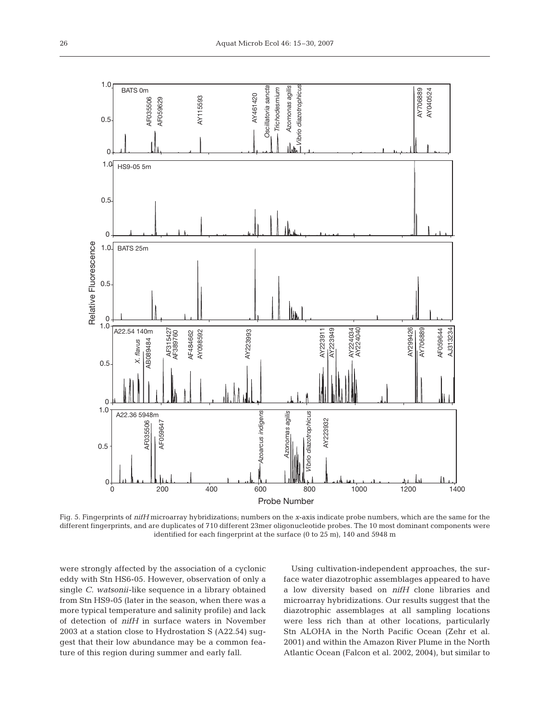

Fig. 5. Fingerprints of *nifH* microarray hybridizations; numbers on the *x*-axis indicate probe numbers, which are the same for the different fingerprints, and are duplicates of 710 different 23mer oligonucleotide probes. The 10 most dominant components were identified for each fingerprint at the surface (0 to 25 m), 140 and 5948 m

were strongly affected by the association of a cyclonic eddy with Stn HS6-05. However, observation of only a single *C. watsonii*-like sequence in a library obtained from Stn HS9-05 (later in the season, when there was a more typical temperature and salinity profile) and lack of detection of *nifH* in surface waters in November 2003 at a station close to Hydrostation S (A22.54) suggest that their low abundance may be a common feature of this region during summer and early fall.

Using cultivation-independent approaches, the surface water diazotrophic assemblages appeared to have a low diversity based on *nifH* clone libraries and microarray hybridizations. Our results suggest that the diazotrophic assemblages at all sampling locations were less rich than at other locations, particularly Stn ALOHA in the North Pacific Ocean (Zehr et al. 2001) and within the Amazon River Plume in the North Atlantic Ocean (Falcon et al. 2002, 2004), but similar to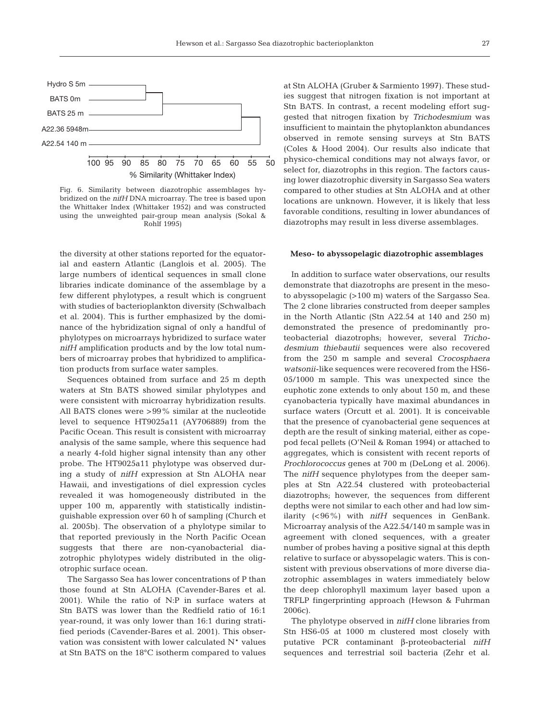

Fig. 6. Similarity between diazotrophic assemblages hybridized on the *nifH* DNA microarray. The tree is based upon the Whittaker Index (Whittaker 1952) and was constructed using the unweighted pair-group mean analysis (Sokal & Rohlf 1995)

the diversity at other stations reported for the equatorial and eastern Atlantic (Langlois et al. 2005). The large numbers of identical sequences in small clone libraries indicate dominance of the assemblage by a few different phylotypes, a result which is congruent with studies of bacterioplankton diversity (Schwalbach et al. 2004). This is further emphasized by the dominance of the hybridization signal of only a handful of phylotypes on microarrays hybridized to surface water *nifH* amplification products and by the low total numbers of microarray probes that hybridized to amplification products from surface water samples.

Sequences obtained from surface and 25 m depth waters at Stn BATS showed similar phylotypes and were consistent with microarray hybridization results. All BATS clones were >99% similar at the nucleotide level to sequence HT9025a11 (AY706889) from the Pacific Ocean. This result is consistent with microarray analysis of the same sample, where this sequence had a nearly 4-fold higher signal intensity than any other probe. The HT9025a11 phylotype was observed during a study of *nifH* expression at Stn ALOHA near Hawaii, and investigations of diel expression cycles revealed it was homogeneously distributed in the upper 100 m, apparently with statistically indistinguishable expression over 60 h of sampling (Church et al. 2005b). The observation of a phylotype similar to that reported previously in the North Pacific Ocean suggests that there are non-cyanobacterial diazotrophic phylotypes widely distributed in the oligotrophic surface ocean.

The Sargasso Sea has lower concentrations of P than those found at Stn ALOHA (Cavender-Bares et al. 2001). While the ratio of N:P in surface waters at Stn BATS was lower than the Redfield ratio of 16:1 year-round, it was only lower than 16:1 during stratified periods (Cavender-Bares et al. 2001). This observation was consistent with lower calculated N\* values at Stn BATS on the 18°C isotherm compared to values

at Stn ALOHA (Gruber & Sarmiento 1997). These studies suggest that nitrogen fixation is not important at Stn BATS. In contrast, a recent modeling effort suggested that nitrogen fixation by *Trichodesmium* was insufficient to maintain the phytoplankton abundances observed in remote sensing surveys at Stn BATS (Coles & Hood 2004). Our results also indicate that physico-chemical conditions may not always favor, or select for, diazotrophs in this region. The factors causing lower diazotrophic diversity in Sargasso Sea waters compared to other studies at Stn ALOHA and at other locations are unknown. However, it is likely that less favorable conditions, resulting in lower abundances of diazotrophs may result in less diverse assemblages.

#### **Meso- to abyssopelagic diazotrophic assemblages**

In addition to surface water observations, our results demonstrate that diazotrophs are present in the mesoto abyssopelagic (>100 m) waters of the Sargasso Sea. The 2 clone libraries constructed from deeper samples in the North Atlantic (Stn A22.54 at 140 and 250 m) demonstrated the presence of predominantly proteobacterial diazotrophs; however, several *Trichodesmium thiebautii* sequences were also recovered from the 250 m sample and several *Crocosphaera watsonii*-like sequences were recovered from the HS6- 05/1000 m sample. This was unexpected since the euphotic zone extends to only about 150 m, and these cyanobacteria typically have maximal abundances in surface waters (Orcutt et al. 2001). It is conceivable that the presence of cyanobacterial gene sequences at depth are the result of sinking material, either as copepod fecal pellets (O'Neil & Roman 1994) or attached to aggregates, which is consistent with recent reports of *Prochlorococcus* genes at 700 m (DeLong et al. 2006). The *nifH* sequence phylotypes from the deeper samples at Stn A22.54 clustered with proteobacterial diazotrophs; however, the sequences from different depths were not similar to each other and had low similarity (<96%) with *nifH* sequences in GenBank. Microarray analysis of the A22.54/140 m sample was in agreement with cloned sequences, with a greater number of probes having a positive signal at this depth relative to surface or abyssopelagic waters. This is consistent with previous observations of more diverse diazotrophic assemblages in waters immediately below the deep chlorophyll maximum layer based upon a TRFLP fingerprinting approach (Hewson & Fuhrman 2006c).

The phylotype observed in *nifH* clone libraries from Stn HS6-05 at 1000 m clustered most closely with putative PCR contaminant β-proteobacterial *nifH* sequences and terrestrial soil bacteria (Zehr et al.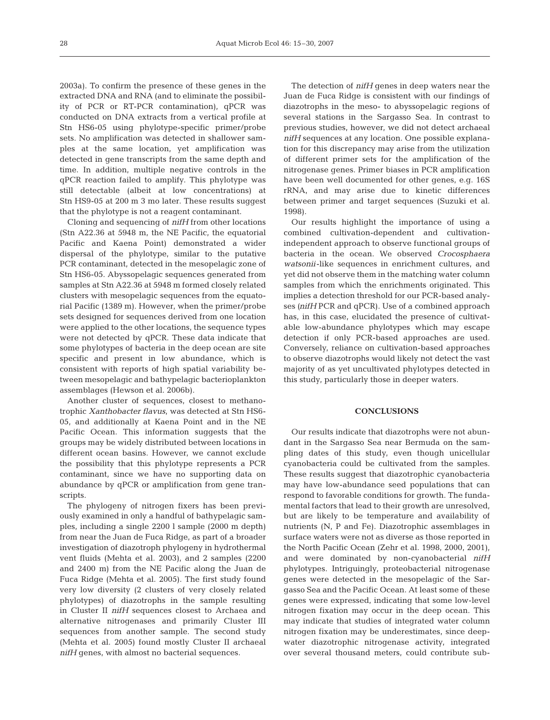2003a). To confirm the presence of these genes in the extracted DNA and RNA (and to eliminate the possibility of PCR or RT-PCR contamination), qPCR was conducted on DNA extracts from a vertical profile at Stn HS6-05 using phylotype-specific primer/probe sets. No amplification was detected in shallower samples at the same location, yet amplification was detected in gene transcripts from the same depth and time. In addition, multiple negative controls in the qPCR reaction failed to amplify. This phylotype was still detectable (albeit at low concentrations) at Stn HS9-05 at 200 m 3 mo later. These results suggest that the phylotype is not a reagent contaminant.

Cloning and sequencing of *nifH* from other locations (Stn A22.36 at 5948 m, the NE Pacific, the equatorial Pacific and Kaena Point) demonstrated a wider dispersal of the phylotype, similar to the putative PCR contaminant, detected in the mesopelagic zone of Stn HS6-05. Abyssopelagic sequences generated from samples at Stn A22.36 at 5948 m formed closely related clusters with mesopelagic sequences from the equatorial Pacific (1389 m). However, when the primer/probe sets designed for sequences derived from one location were applied to the other locations, the sequence types were not detected by qPCR. These data indicate that some phylotypes of bacteria in the deep ocean are site specific and present in low abundance, which is consistent with reports of high spatial variability between mesopelagic and bathypelagic bacterioplankton assemblages (Hewson et al. 2006b).

Another cluster of sequences, closest to methanotrophic *Xanthobacter flavus*, was detected at Stn HS6- 05, and additionally at Kaena Point and in the NE Pacific Ocean. This information suggests that the groups may be widely distributed between locations in different ocean basins. However, we cannot exclude the possibility that this phylotype represents a PCR contaminant, since we have no supporting data on abundance by qPCR or amplification from gene transcripts.

The phylogeny of nitrogen fixers has been previously examined in only a handful of bathypelagic samples, including a single 2200 l sample (2000 m depth) from near the Juan de Fuca Ridge, as part of a broader investigation of diazotroph phylogeny in hydrothermal vent fluids (Mehta et al. 2003), and 2 samples (2200 and 2400 m) from the NE Pacific along the Juan de Fuca Ridge (Mehta et al. 2005). The first study found very low diversity (2 clusters of very closely related phylotypes) of diazotrophs in the sample resulting in Cluster II *nifH* sequences closest to Archaea and alternative nitrogenases and primarily Cluster III sequences from another sample. The second study (Mehta et al. 2005) found mostly Cluster II archaeal *nifH* genes, with almost no bacterial sequences.

The detection of *nifH* genes in deep waters near the Juan de Fuca Ridge is consistent with our findings of diazotrophs in the meso- to abyssopelagic regions of several stations in the Sargasso Sea. In contrast to previous studies, however, we did not detect archaeal *nifH* sequences at any location. One possible explanation for this discrepancy may arise from the utilization of different primer sets for the amplification of the nitrogenase genes. Primer biases in PCR amplification have been well documented for other genes, e.g. 16S rRNA, and may arise due to kinetic differences between primer and target sequences (Suzuki et al. 1998).

Our results highlight the importance of using a combined cultivation-dependent and cultivationindependent approach to observe functional groups of bacteria in the ocean. We observed *Crocosphaera watsonii*-like sequences in enrichment cultures, and yet did not observe them in the matching water column samples from which the enrichments originated. This implies a detection threshold for our PCR-based analyses *(nifH* PCR and qPCR). Use of a combined approach has, in this case, elucidated the presence of cultivatable low-abundance phylotypes which may escape detection if only PCR-based approaches are used. Conversely, reliance on cultivation-based approaches to observe diazotrophs would likely not detect the vast majority of as yet uncultivated phylotypes detected in this study, particularly those in deeper waters.

# **CONCLUSIONS**

Our results indicate that diazotrophs were not abundant in the Sargasso Sea near Bermuda on the sampling dates of this study, even though unicellular cyanobacteria could be cultivated from the samples. These results suggest that diazotrophic cyanobacteria may have low-abundance seed populations that can respond to favorable conditions for growth. The fundamental factors that lead to their growth are unresolved, but are likely to be temperature and availability of nutrients (N, P and Fe). Diazotrophic assemblages in surface waters were not as diverse as those reported in the North Pacific Ocean (Zehr et al. 1998, 2000, 2001), and were dominated by non-cyanobacterial *nifH* phylotypes. Intriguingly, proteobacterial nitrogenase genes were detected in the mesopelagic of the Sargasso Sea and the Pacific Ocean. At least some of these genes were expressed, indicating that some low-level nitrogen fixation may occur in the deep ocean. This may indicate that studies of integrated water column nitrogen fixation may be underestimates, since deepwater diazotrophic nitrogenase activity, integrated over several thousand meters, could contribute sub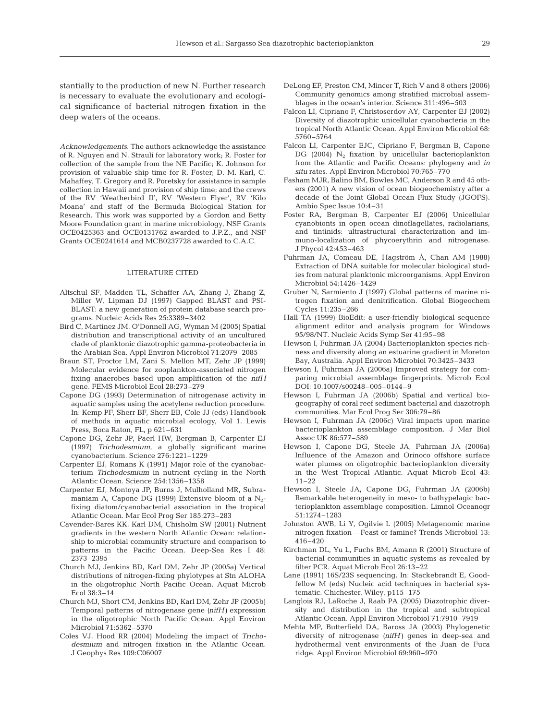stantially to the production of new N. Further research is necessary to evaluate the evolutionary and ecological significance of bacterial nitrogen fixation in the deep waters of the oceans.

*Acknowledgements*. The authors acknowledge the assistance of R. Nguyen and N. Strauli for laboratory work; R. Foster for collection of the sample from the NE Pacific; K. Johnson for provision of valuable ship time for R. Foster; D. M. Karl, C. Mahaffey, T. Gregory and R. Poretsky for assistance in sample collection in Hawaii and provision of ship time; and the crews of the RV 'Weatherbird II', RV 'Western Flyer', RV 'Kilo Moana' and staff of the Bermuda Biological Station for Research. This work was supported by a Gordon and Betty Moore Foundation grant in marine microbiology, NSF Grants OCE0425363 and OCE0131762 awarded to J.P.Z., and NSF Grants OCE0241614 and MCB0237728 awarded to C.A.C.

#### LITERATURE CITED

- Altschul SF, Madden TL, Schaffer AA, Zhang J, Zhang Z, Miller W, Lipman DJ (1997) Gapped BLAST and PSI-BLAST: a new generation of protein database search programs. Nucleic Acids Res 25:3389–3402
- Bird C, Martinez JM, O'Donnell AG, Wyman M (2005) Spatial distribution and transcriptional activity of an uncultured clade of planktonic diazotrophic gamma-proteobacteria in the Arabian Sea. Appl Environ Microbiol 71:2079–2085
- Braun ST, Proctor LM, Zani S, Mellon MT, Zehr JP (1999) Molecular evidence for zooplankton-associated nitrogen fixing anaerobes based upon amplification of the *nifH* gene. FEMS Microbiol Ecol 28:273–279
- Capone DG (1993) Determination of nitrogenase activity in aquatic samples using the acetylene reduction procedure. In: Kemp PF, Sherr BF, Sherr EB, Cole JJ (eds) Handbook of methods in aquatic microbial ecology, Vol 1. Lewis Press, Boca Raton, FL, p 621–631
- Capone DG, Zehr JP, Paerl HW, Bergman B, Carpenter EJ (1997) *Trichodesmium*, a globally significant marine cyanobacterium. Science 276:1221–1229
- Carpenter EJ, Romans K (1991) Major role of the cyanobacterium *Trichodesmium* in nutrient cycling in the North Atlantic Ocean. Science 254:1356–1358
- Carpenter EJ, Montoya JP, Burns J, Mulholland MR, Subramaniam A, Capone DG (1999) Extensive bloom of a  $N_2$ fixing diatom/cyanobacterial association in the tropical Atlantic Ocean. Mar Ecol Prog Ser 185:273–283
- Cavender-Bares KK, Karl DM, Chisholm SW (2001) Nutrient gradients in the western North Atlantic Ocean: relationship to microbial community structure and comparison to patterns in the Pacific Ocean. Deep-Sea Res I 48: 2373–2395
- Church MJ, Jenkins BD, Karl DM, Zehr JP (2005a) Vertical distributions of nitrogen-fixing phylotypes at Stn ALOHA in the oligotrophic North Pacific Ocean. Aquat Microb Ecol 38:3–14
- Church MJ, Short CM, Jenkins BD, Karl DM, Zehr JP (2005b) Temporal patterns of nitrogenase gene *(nifH)* expression in the oligotrophic North Pacific Ocean. Appl Environ Microbiol 71:5362–5370
- Coles VJ, Hood RR (2004) Modeling the impact of *Trichodesmium* and nitrogen fixation in the Atlantic Ocean. J Geophys Res 109:C06007
- DeLong EF, Preston CM, Mincer T, Rich V and 8 others (2006) Community genomics among stratified microbial assemblages in the ocean's interior. Science 311:496–503
- Falcon LI, Cipriano F, Christoserdov AY, Carpenter EJ (2002) Diversity of diazotrophic unicellular cyanobacteria in the tropical North Atlantic Ocean. Appl Environ Microbiol 68: 5760–5764
- Falcon LI, Carpenter EJC, Cipriano F, Bergman B, Capone DG (2004)  $N_2$  fixation by unicellular bacterioplankton from the Atlantic and Pacific Oceans: phylogeny and *in situ* rates. Appl Environ Microbiol 70:765–770
- Fasham MJR, Balino BM, Bowles MC, Anderson R and 45 others (2001) A new vision of ocean biogeochemistry after a decade of the Joint Global Ocean Flux Study (JGOFS). Ambio Spec Issue 10:4–31
- Foster RA, Bergman B, Carpenter EJ (2006) Unicellular cyanobionts in open ocean dinoflagellates, radiolarians, and tintinids: ultrastructural characterization and immuno-localization of phycoerythrin and nitrogenase. J Phycol 42:453–463
- Fuhrman JA, Comeau DE, Hagström Å, Chan AM (1988) Extraction of DNA suitable for molecular biological studies from natural planktonic microorganisms. Appl Environ Microbiol 54:1426–1429
- Gruber N, Sarmiento J (1997) Global patterns of marine nitrogen fixation and denitrification. Global Biogeochem Cycles 11:235–266
- Hall TA (1999) BioEdit: a user-friendly biological sequence alignment editor and analysis program for Windows 95/98/NT. Nucleic Acids Symp Ser 41:95–98
- Hewson I, Fuhrman JA (2004) Bacterioplankton species richness and diversity along an estuarine gradient in Moreton Bay, Australia. Appl Environ Microbiol 70:3425–3433
- Hewson I, Fuhrman JA (2006a) Improved strategy for comparing microbial assemblage fingerprints. Microb Ecol DOI: 10.1007/s00248–005–0144–9
- Hewson I, Fuhrman JA (2006b) Spatial and vertical biogeography of coral reef sediment bacterial and diazotroph communities. Mar Ecol Prog Ser 306:79–86
- Hewson I, Fuhrman JA (2006c) Viral impacts upon marine bacterioplankton assemblage composition. J Mar Biol Assoc UK 86:577–589
- Hewson I, Capone DG, Steele JA, Fuhrman JA (2006a) Influence of the Amazon and Orinoco offshore surface water plumes on oligotrophic bacterioplankton diversity in the West Tropical Atlantic. Aquat Microb Ecol 43: 11–22
- Hewson I, Steele JA, Capone DG, Fuhrman JA (2006b) Remarkable heterogeneity in meso- to bathypelagic bacterioplankton assemblage composition. Limnol Oceanogr 51:1274–1283
- Johnston AWB, Li Y, Ogilvie L (2005) Metagenomic marine nitrogen fixation—Feast or famine? Trends Microbiol 13: 416–420
- Kirchman DL, Yu L, Fuchs BM, Amann R (2001) Structure of bacterial communities in aquatic systems as revealed by filter PCR. Aquat Microb Ecol 26:13–22
- Lane (1991) 16S/23S sequencing. In: Stackebrandt E, Goodfellow M (eds) Nucleic acid techniques in bacterial systematic. Chichester, Wiley, p115–175
- Langlois RJ, LaRoche J, Raab PA (2005) Diazotrophic diversity and distribution in the tropical and subtropical Atlantic Ocean. Appl Environ Microbiol 71:7910–7919
- Mehta MP, Butterfield DA, Baross JA (2003) Phylogenetic diversity of nitrogenase *(nifH)* genes in deep-sea and hydrothermal vent environments of the Juan de Fuca ridge. Appl Environ Microbiol 69:960–970